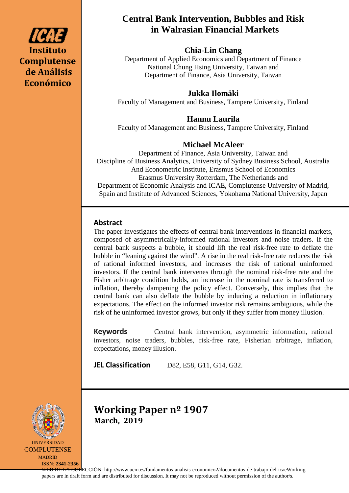

# **Central Bank Intervention, Bubbles and Risk in Walrasian Financial Markets**

# **Chia-Lin Chang**

Department of Applied Economics and Department of Finance National Chung Hsing University, Taiwan and Department of Finance, Asia University, Taiwan

# **Jukka Ilomäki**

Faculty of Management and Business, Tampere University, Finland

# **Hannu Laurila**

Faculty of Management and Business, Tampere University, Finland

# **Michael McAleer**

Department of Finance, Asia University, Taiwan and Discipline of Business Analytics, University of Sydney Business School, Australia And Econometric Institute, Erasmus School of Economics Erasmus University Rotterdam, The Netherlands and Department of Economic Analysis and ICAE, Complutense University of Madrid, Spain and Institute of Advanced Sciences, Yokohama National University, Japan

# **Abstract**

The paper investigates the effects of central bank interventions in financial markets, composed of asymmetrically-informed rational investors and noise traders. If the central bank suspects a bubble, it should lift the real risk-free rate to deflate the bubble in "leaning against the wind". A rise in the real risk-free rate reduces the risk of rational informed investors, and increases the risk of rational uninformed investors. If the central bank intervenes through the nominal risk-free rate and the Fisher arbitrage condition holds, an increase in the nominal rate is transferred to inflation, thereby dampening the policy effect. Conversely, this implies that the central bank can also deflate the bubble by inducing a reduction in inflationary expectations. The effect on the informed investor risk remains ambiguous, while the risk of he uninformed investor grows, but only if they suffer from money illusion.

**Keywords** Central bank intervention, asymmetric information, rational investors, noise traders, bubbles, risk-free rate, Fisherian arbitrage, inflation, expectations, money illusion.

**JEL Classification** D82, E58, G11, G14, G32.



**COMPLUTENSE** MADRID

ISSN: **2341-2356**

**Working Paper nº 1907 March, 2019**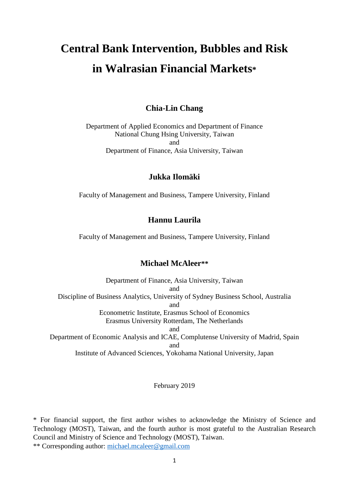# **Central Bank Intervention, Bubbles and Risk in Walrasian Financial Markets\***

## **Chia-Lin Chang**

Department of Applied Economics and Department of Finance National Chung Hsing University, Taiwan and Department of Finance, Asia University, Taiwan

## **Jukka Ilomäki**

Faculty of Management and Business, Tampere University, Finland

## **Hannu Laurila**

Faculty of Management and Business, Tampere University, Finland

#### **Michael McAleer\*\***

Department of Finance, Asia University, Taiwan and Discipline of Business Analytics, University of Sydney Business School, Australia and Econometric Institute, Erasmus School of Economics Erasmus University Rotterdam, The Netherlands and Department of Economic Analysis and ICAE, Complutense University of Madrid, Spain and Institute of Advanced Sciences, Yokohama National University, Japan

#### February 2019

\* For financial support, the first author wishes to acknowledge the Ministry of Science and Technology (MOST), Taiwan, and the fourth author is most grateful to the Australian Research Council and Ministry of Science and Technology (MOST), Taiwan.

\*\* Corresponding author: [michael.mcaleer@gmail.com](mailto:michael.mcaleer@gmail.com)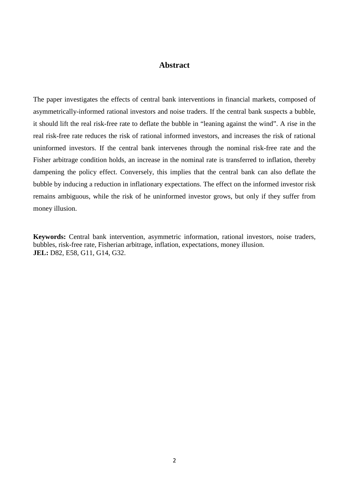#### **Abstract**

The paper investigates the effects of central bank interventions in financial markets, composed of asymmetrically-informed rational investors and noise traders. If the central bank suspects a bubble, it should lift the real risk-free rate to deflate the bubble in "leaning against the wind". A rise in the real risk-free rate reduces the risk of rational informed investors, and increases the risk of rational uninformed investors. If the central bank intervenes through the nominal risk-free rate and the Fisher arbitrage condition holds, an increase in the nominal rate is transferred to inflation, thereby dampening the policy effect. Conversely, this implies that the central bank can also deflate the bubble by inducing a reduction in inflationary expectations. The effect on the informed investor risk remains ambiguous, while the risk of he uninformed investor grows, but only if they suffer from money illusion.

**Keywords:** Central bank intervention, asymmetric information, rational investors, noise traders, bubbles, risk-free rate, Fisherian arbitrage, inflation, expectations, money illusion. **JEL:** D82, E58, G11, G14, G32.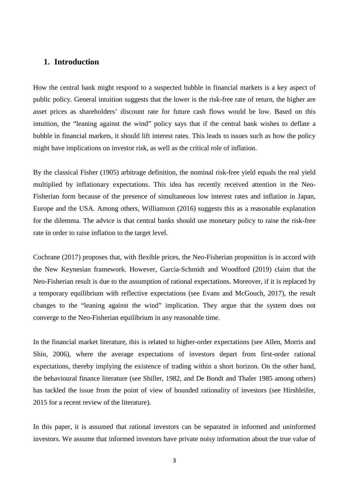#### **1. Introduction**

How the central bank might respond to a suspected bubble in financial markets is a key aspect of public policy. General intuition suggests that the lower is the risk-free rate of return, the higher are asset prices as shareholders' discount rate for future cash flows would be low. Based on this intuition, the "leaning against the wind" policy says that if the central bank wishes to deflate a bubble in financial markets, it should lift interest rates. This leads to issues such as how the policy might have implications on investor risk, as well as the critical role of inflation.

By the classical Fisher (1905) arbitrage definition, the nominal risk-free yield equals the real yield multiplied by inflationary expectations. This idea has recently received attention in the Neo-Fisherian form because of the presence of simultaneous low interest rates and inflation in Japan, Europe and the USA. Among others, Williamson (2016) suggests this as a reasonable explanation for the dilemma. The advice is that central banks should use monetary policy to raise the risk-free rate in order to raise inflation to the target level.

Cochrane (2017) proposes that, with flexible prices, the Neo-Fisherian proposition is in accord with the New Keynesian framework. However, Garcia-Schmidt and Woodford (2019) claim that the Neo-Fisherian result is due to the assumption of rational expectations. Moreover, if it is replaced by a temporary equilibrium with reflective expectations (see Evans and McGouch, 2017), the result changes to the "leaning against the wind" implication. They argue that the system does not converge to the Neo-Fisherian equilibrium in any reasonable time.

In the financial market literature, this is related to higher-order expectations (see Allen, Morris and Shin, 2006), where the average expectations of investors depart from first-order rational expectations, thereby implying the existence of trading within a short horizon. On the other hand, the behavioural finance literature (see Shiller, 1982, and De Bondt and Thaler 1985 among others) has tackled the issue from the point of view of bounded rationality of investors (see Hirshleifer, 2015 for a recent review of the literature).

In this paper, it is assumed that rational investors can be separated in informed and uninformed investors. We assume that informed investors have private noisy information about the true value of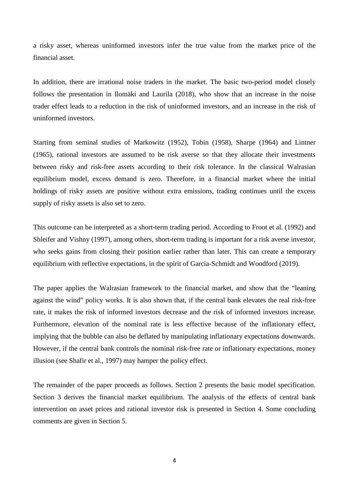a risky asset, whereas uninformed investors infer the true value from the market price of the financial asset.

In addition, there are irrational noise traders in the market. The basic two-period model closely follows the presentation in Ilomäki and Laurila (2018), who show that an increase in the noise trader effect leads to a reduction in the risk of uninformed investors, and an increase in the risk of uninformed investors.

Starting from seminal studies of Markowitz (1952), Tobin (1958), Sharpe (1964) and Lintner (1965), rational investors are assumed to be risk averse so that they allocate their investments between risky and risk-free assets according to their risk tolerance. In the classical Walrasian equilibrium model, excess demand is zero. Therefore, in a financial market where the initial holdings of risky assets are positive without extra emissions, trading continues until the excess supply of risky assets is also set to zero.

This outcome can be interpreted as a short-term trading period. According to Froot et al. (1992) and Shleifer and Vishny (1997), among others, short-term trading is important for a risk averse investor, who seeks gains from closing their position earlier rather than later. This can create a temporary equilibrium with reflective expectations, in the spirit of Garcia-Schmidt and Woodford (2019).

The paper applies the Walrasian framework to the financial market, and show that the "leaning against the wind" policy works. It is also shown that, if the central bank elevates the real risk-free rate, it makes the risk of informed investors decrease and the risk of informed investors increase. Furthermore, elevation of the nominal rate is less effective because of the inflationary effect, implying that the bubble can also be deflated by manipulating inflationary expectations downwards. However, if the central bank controls the nominal risk-free rate or inflationary expectations, money illusion (see Shafir et al., 1997) may hamper the policy effect.

The remainder of the paper proceeds as follows. Section 2 presents the basic model specification. Section 3 derives the financial market equilibrium. The analysis of the effects of central bank intervention on asset prices and rational investor risk is presented in Section 4. Some concluding comments are given in Section 5.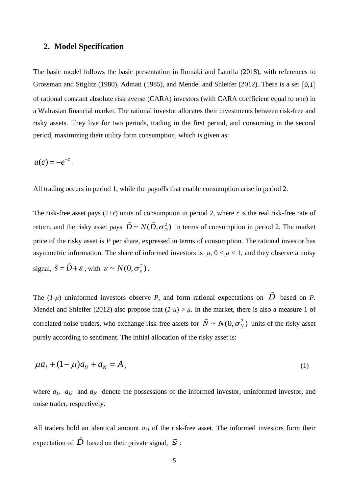#### **2. Model Specification**

The basic model follows the basic presentation in Ilomäki and Laurila (2018), with references to Grossman and Stiglitz (1980), Admati (1985), and Mendel and Shleifer (2012). There is a set [0,1] of rational constant absolute risk averse (CARA) investors (with CARA coefficient equal to one) in a Walrasian financial market. The rational investor allocates their investments between risk-free and risky assets. They live for two periods, trading in the first period, and consuming in the second period, maximizing their utility form consumption, which is given as:

$$
u(c)=-e^{-c}.
$$

All trading occurs in period 1, while the payoffs that enable consumption arise in period 2.

The risk-free asset pays  $(1+r)$  units of consumption in period 2, where *r* is the real risk-free rate of return, and the risky asset pays  $\tilde{D} \sim N(\tilde{D}, \sigma_D^2)$  in terms of consumption in period 2. The market price of the risky asset is *P* per share, expressed in terms of consumption. The rational investor has asymmetric information. The share of informed investors is  $\mu$ ,  $0 < \mu < 1$ , and they observe a noisy signal,  $\tilde{s} = \tilde{D} + \varepsilon$ , with  $\varepsilon \sim N(0, \sigma_s^2)$ .

The  $(I-\mu)$  uninformed investors observe *P*, and form rational expectations on  $\tilde{D}$  based on *P*. Mendel and Shleifer (2012) also propose that  $(I-\mu) > \mu$ . In the market, there is also a measure 1 of correlated noise traders, who exchange risk-free assets for  $\tilde{N} \sim N(0, \sigma_N^2)$  units of the risky asset purely according to sentiment. The initial allocation of the risky asset is:

$$
\mu a_1 + (1 - \mu)a_U + a_N = A,
$$
\n(1)

where  $a<sub>I</sub>$ ,  $a<sub>U</sub>$  and  $a<sub>N</sub>$  denote the possessions of the informed investor, uninformed investor, and noise trader, respectively.

All traders hold an identical amount  $a<sub>0</sub>$  of the risk-free asset. The informed investors form their expectation of  $\tilde{D}$  based on their private signal,  $\tilde{S}$ :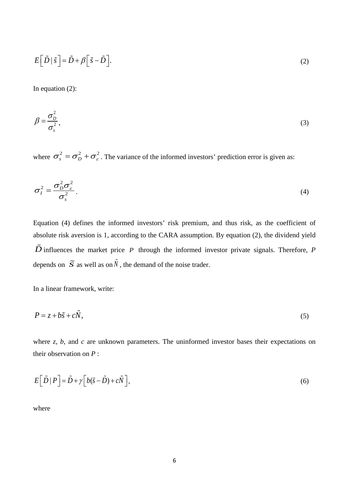$$
E\left[\tilde{D} \mid \tilde{s}\right] = \tilde{D} + \beta \left[\tilde{s} - \tilde{D}\right].\tag{2}
$$

In equation (2):

$$
\beta = \frac{\sigma_D^2}{\sigma_s^2},\tag{3}
$$

where  $\sigma_s^2 = \sigma_D^2 + \sigma_s^2$ . The variance of the informed investors' prediction error is given as:

$$
\sigma_I^2 = \frac{\sigma_D^2 \sigma_\varepsilon^2}{\sigma_s^2} \,. \tag{4}
$$

Equation (4) defines the informed investors' risk premium, and thus risk, as the coefficient of absolute risk aversion is 1, according to the CARA assumption. By equation (2), the dividend yield  $\tilde{D}$  influences the market price *P* through the informed investor private signals. Therefore, *P* depends on  $\tilde{S}$  as well as on  $\tilde{N}$ , the demand of the noise trader.

In a linear framework, write:

$$
P = z + b\tilde{s} + c\tilde{N},\tag{5}
$$

where *z*, *b*, and *c* are unknown parameters. The uninformed investor bases their expectations on their observation on *P* :

$$
E\left[\tilde{D} \mid P\right] = \tilde{D} + \gamma \left[b(\tilde{s} - \tilde{D}) + c\tilde{N}\right],\tag{6}
$$

where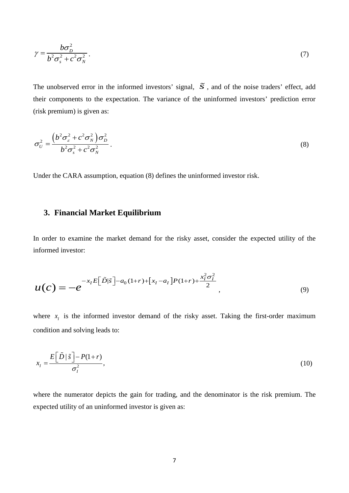$$
\gamma = \frac{b\sigma_D^2}{b^2 \sigma_s^2 + c^2 \sigma_N^2} \,. \tag{7}
$$

The unobserved error in the informed investors' signal,  $\tilde{S}$ , and of the noise traders' effect, add their components to the expectation. The variance of the uninformed investors' prediction error (risk premium) is given as:

$$
\sigma_U^2 = \frac{\left(b^2 \sigma_s^2 + c^2 \sigma_N^2\right) \sigma_D^2}{b^2 \sigma_s^2 + c^2 \sigma_N^2}.
$$
\n(8)

Under the CARA assumption, equation (8) defines the uninformed investor risk.

#### **3. Financial Market Equilibrium**

In order to examine the market demand for the risky asset, consider the expected utility of the informed investor:

$$
u(c) = -e^{-x_I E[\tilde{D}|\tilde{s}]-a_0(1+r)+[x_I - a_I]P(1+r)+\frac{x_I^2 \sigma_I^2}{2}},
$$
\n(9)

where  $x_i$  is the informed investor demand of the risky asset. Taking the first-order maximum condition and solving leads to:

$$
x_{I} = \frac{E\left[\tilde{D}|\tilde{s}\right] - P(1+r)}{\sigma_{I}^{2}},\tag{10}
$$

where the numerator depicts the gain for trading, and the denominator is the risk premium. The expected utility of an uninformed investor is given as: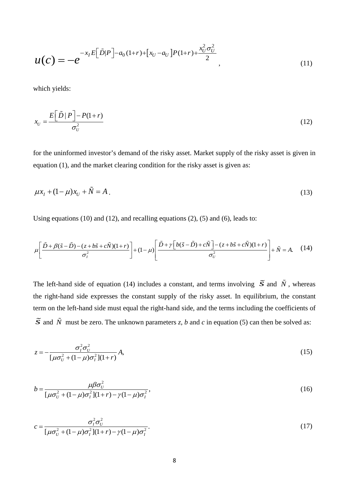$$
u(c) = -e^{-x_I E[\tilde{D}|P]-a_0(1+r)+[x_U - a_U]P(1+r)+\frac{x_U^2 \sigma_U^2}{2}},
$$
\n(11)

which yields:

$$
x_U = \frac{E\left[\tilde{D} \mid P\right] - P(1+r)}{\sigma_U^2} \tag{12}
$$

for the uninformed investor's demand of the risky asset. Market supply of the risky asset is given in equation (1), and the market clearing condition for the risky asset is given as:

$$
\mu x_1 + (1 - \mu)x_U + \tilde{N} = A \tag{13}
$$

Using equations (10) and (12), and recalling equations (2), (5) and (6), leads to:

$$
\mu \left[ \frac{\tilde{D} + \beta(\tilde{s} - \tilde{D}) - (z + b\tilde{s} + c\tilde{N})(1+r)}{\sigma_i^2} \right] + (1 - \mu) \left[ \frac{\tilde{D} + \gamma \left[ b(\tilde{s} - \tilde{D}) + c\tilde{N} \right] - (z + b\tilde{s} + c\tilde{N})(1+r)}{\sigma_v^2} \right] + \tilde{N} = A. \quad (14)
$$

The left-hand side of equation (14) includes a constant, and terms involving  $\tilde{S}$  and  $\tilde{N}$ , whereas the right-hand side expresses the constant supply of the risky asset. In equilibrium, the constant term on the left-hand side must equal the right-hand side, and the terms including the coefficients of  $\tilde{s}$  and  $\tilde{N}$  must be zero. The unknown parameters *z*, *b* and *c* in equation (5) can then be solved as:

$$
z = -\frac{\sigma_i^2 \sigma_v^2}{[\mu \sigma_v^2 + (1 - \mu)\sigma_i^2](1 + r)} A,
$$
\n(15)

$$
b = \frac{\mu \beta \sigma_U^2}{[\mu \sigma_U^2 + (1 - \mu)\sigma_I^2](1 + r) - \gamma (1 - \mu)\sigma_I^2},
$$
\n(16)

$$
c = \frac{\sigma_i^2 \sigma_U^2}{\left[\mu \sigma_U^2 + (1 - \mu)\sigma_I^2\right](1 + r) - \gamma(1 - \mu)\sigma_I^2}.
$$
\n(17)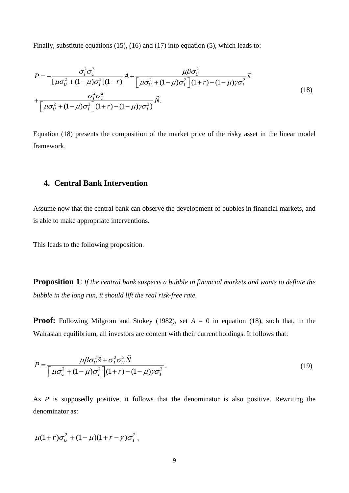Finally, substitute equations (15), (16) and (17) into equation (5), which leads to:

$$
P = -\frac{\sigma_i^2 \sigma_v^2}{\left[\mu \sigma_v^2 + (1 - \mu) \sigma_i^2\right](1 + r)} A + \frac{\mu \beta \sigma_v^2}{\left[\mu \sigma_v^2 + (1 - \mu) \sigma_i^2\right](1 + r) - (1 - \mu) \gamma \sigma_i^2} \tilde{s}
$$
  
+ 
$$
\frac{\sigma_i^2 \sigma_v^2}{\left[\mu \sigma_v^2 + (1 - \mu) \sigma_i^2\right](1 + r) - (1 - \mu) \gamma \sigma_i^2} \tilde{N}.
$$
 (18)

Equation (18) presents the composition of the market price of the risky asset in the linear model framework.

## **4. Central Bank Intervention**

Assume now that the central bank can observe the development of bubbles in financial markets, and is able to make appropriate interventions.

This leads to the following proposition.

**Proposition 1**: *If the central bank suspects a bubble in financial markets and wants to deflate the bubble in the long run, it should lift the real risk-free rate.*

**Proof:** Following Milgrom and Stokey (1982), set  $A = 0$  in equation (18), such that, in the Walrasian equilibrium, all investors are content with their current holdings. It follows that:

$$
P = \frac{\mu \beta \sigma_U^2 \tilde{s} + \sigma_I^2 \sigma_U^2 \tilde{N}}{\left[\mu \sigma_U^2 + (1 - \mu) \sigma_I^2\right](1 + r) - (1 - \mu)\gamma \sigma_I^2}.
$$
\n(19)

As *P* is supposedly positive, it follows that the denominator is also positive. Rewriting the denominator as:

$$
\mu(1+r)\sigma_U^2 + (1-\mu)(1+r-\gamma)\sigma_I^2\,,
$$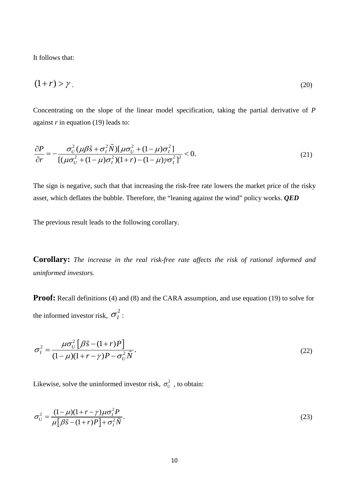It follows that:

$$
(1+r) > \gamma \tag{20}
$$

Concentrating on the slope of the linear model specification, taking the partial derivative of *P* against *r* in equation (19) leads to:

$$
\frac{\partial P}{\partial r} = -\frac{\sigma_U^2 (\mu \beta \tilde{s} + \sigma_I^2 \tilde{N}) [\mu \sigma_U^2 + (1 - \mu) \sigma_I^2]}{[(\mu \sigma_U^2 + (1 - \mu) \sigma_I^2)(1 + r) - (1 - \mu) \gamma \sigma_I^2]^2} < 0.
$$
\n(21)

The sign is negative, such that that increasing the risk-free rate lowers the market price of the risky asset, which deflates the bubble. Therefore, the "leaning against the wind" policy works. *QED*

The previous result leads to the following corollary.

**Corollary:** *The increase in the real risk-free rate affects the risk of rational informed and uninformed investors.*

**Proof:** Recall definitions (4) and (8) and the CARA assumption, and use equation (19) to solve for the informed investor risk,  $\sigma_I^2$ :

$$
\sigma_I^2 = \frac{\mu \sigma_U^2 \left[ \beta \tilde{s} - (1+r)P \right]}{(1-\mu)(1+r-\gamma)P - \sigma_U^2 \tilde{N}}.
$$
\n(22)

Likewise, solve the uninformed investor risk,  $\sigma_U^2$ , to obtain:

$$
\sigma_U^2 = \frac{(1-\mu)(1+r-\gamma)\mu\sigma_I^2 P}{\mu[\beta\tilde{s}-(1+r)P]+\sigma_I^2 \tilde{N}}.
$$
\n(23)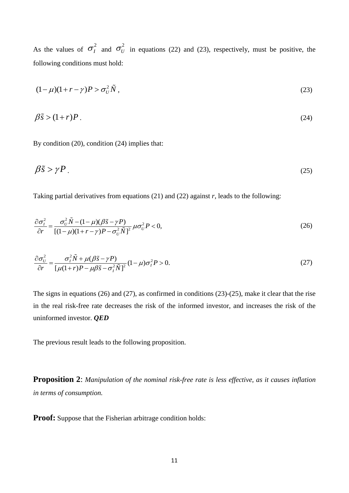As the values of  $\sigma_l^2$  and  $\sigma_U^2$  in equations (22) and (23), respectively, must be positive, the following conditions must hold:

$$
(1 - \mu)(1 + r - \gamma)P > \sigma_U^2 \tilde{N},\qquad(23)
$$

$$
\beta \tilde{s} > (1+r)P \tag{24}
$$

By condition (20), condition (24) implies that:

$$
\beta \tilde{s} > \gamma P \tag{25}
$$

Taking partial derivatives from equations (21) and (22) against *r*, leads to the following:

$$
\frac{\partial \sigma_l^2}{\partial r} = \frac{\sigma_U^2 \tilde{N} - (1 - \mu)(\beta \tilde{s} - \gamma P)}{[(1 - \mu)(1 + r - \gamma)P - \sigma_U^2 \tilde{N}]^2} \mu \sigma_U^2 P < 0,\tag{26}
$$

$$
\frac{\partial \sigma_U^2}{\partial r} = \frac{\sigma_I^2 \tilde{N} + \mu(\beta \tilde{s} - \gamma P)}{\left[\mu(1+r)P - \mu \beta \tilde{s} - \sigma_I^2 \tilde{N}\right]^2} (1-\mu) \sigma_I^2 P > 0.
$$
\n(27)

The signs in equations (26) and (27), as confirmed in conditions (23)-(25), make it clear that the rise in the real risk-free rate decreases the risk of the informed investor, and increases the risk of the uninformed investor. *QED*

The previous result leads to the following proposition.

**Proposition 2**: *Manipulation of the nominal risk-free rate is less effective, as it causes inflation in terms of consumption.*

**Proof:** Suppose that the Fisherian arbitrage condition holds: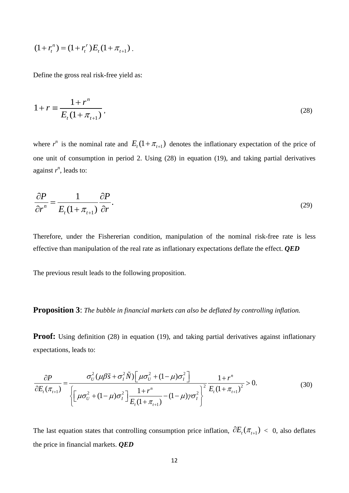$$
(1 + r_t^n) = (1 + r_t^r) E_t (1 + \pi_{t+1}).
$$

Define the gross real risk-free yield as:

$$
1 + r \equiv \frac{1 + r^n}{E_t (1 + \pi_{t+1})},
$$
\n(28)

where  $r^n$  is the nominal rate and  $E_t(1 + \pi_{t+1})$  denotes the inflationary expectation of the price of one unit of consumption in period 2. Using (28) in equation (19), and taking partial derivatives against  $r^n$ , leads to:

$$
\frac{\partial P}{\partial r^n} = \frac{1}{E_t (1 + \pi_{t+1})} \frac{\partial P}{\partial r}.
$$
\n(29)

Therefore, under the Fishererian condition, manipulation of the nominal risk-free rate is less effective than manipulation of the real rate as inflationary expectations deflate the effect. *QED*

The previous result leads to the following proposition.

#### **Proposition 3**: *The bubble in financial markets can also be deflated by controlling inflation.*

**Proof:** Using definition (28) in equation (19), and taking partial derivatives against inflationary expectations, leads to:

$$
\frac{\partial P}{\partial E_t(\pi_{t+1})} = \frac{\sigma_U^2(\mu\beta\tilde{s} + \sigma_I^2 \tilde{N}) \left[\mu\sigma_U^2 + (1-\mu)\sigma_I^2\right]}{\left\{\left[\mu\sigma_U^2 + (1-\mu)\sigma_I^2\right] \frac{1+r^n}{E_t(1+\pi_{t+1})} - (1-\mu)\gamma\sigma_I^2\right\}^2} \frac{1+r^n}{E_t(1+\pi_{t+1})^2} > 0.
$$
\n(30)

The last equation states that controlling consumption price inflation,  $\partial E_t(\pi_{t+1})$  < 0, also deflates the price in financial markets. *QED*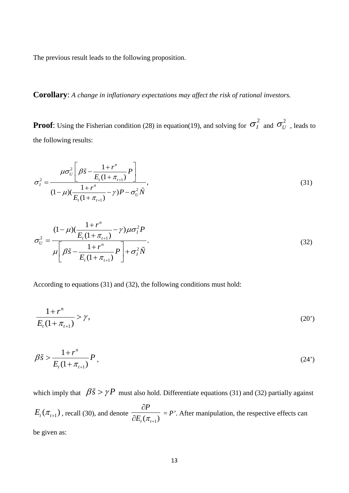The previous result leads to the following proposition.

# **Corollary**: *A change in inflationary expectations may affect the risk of rational investors.*

**Proof**: Using the Fisherian condition (28) in equation(19), and solving for  $\sigma_I^2$  and  $\sigma_U^2$ , leads to the following results:

$$
\sigma_l^2 = \frac{\mu \sigma_U^2 \left[ \beta \tilde{s} - \frac{1 + r^n}{E_t (1 + \pi_{t+1})} P \right]}{(1 - \mu) (\frac{1 + r^n}{E_t (1 + \pi_{t+1})} - \gamma) P - \sigma_U^2 \tilde{N}},
$$
\n(31)

$$
\sigma_U^2 = \frac{(1-\mu)\left(\frac{1+r^n}{E_t(1+\pi_{t+1})}-\gamma\right)\mu\sigma_I^2 P}{\mu\left[\beta\tilde{s}-\frac{1+r^n}{E_t(1+\pi_{t+1})}P\right]+\sigma_I^2 \tilde{N}}.
$$
\n(32)

According to equations (31) and (32), the following conditions must hold:

$$
\frac{1+r^n}{E_t(1+\pi_{t+1})} > \gamma,
$$
\n(20')

$$
\beta \tilde{s} > \frac{1 + r^n}{E_t (1 + \pi_{t+1})} P , \qquad (24')
$$

which imply that  $\beta \tilde{s} > \gamma P$  must also hold. Differentiate equations (31) and (32) partially against  $E_{_t}(\pi_{_{t+1}})$  , recall (30), and denote  $t_{t}^{'}(\pi_{t+1})$ *P*  $E_{t}(\pi_{t+1})$ ∂  $\overline{\partial E_{i}(\pi_{i+1})}$  = P'. After manipulation, the respective effects can be given as: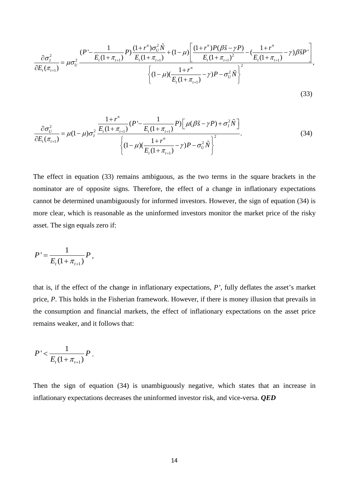$$
\frac{\partial \sigma_i^2}{\partial E_t(\pi_{t+1})} = \mu \sigma_U^2 \frac{(P' - \frac{1}{E_t(1 + \pi_{t+1})} P) \frac{(1 + r^n) \sigma_U^2 \tilde{N}}{E_t(1 + \pi_{t+1})} + (1 - \mu) \left[ \frac{(1 + r^n) P(\beta \tilde{s} - \gamma P)}{E_t(1 + \pi_{t+1})^2} - \left( \frac{1 + r^n}{E_t(1 + \pi_{t+1})} - \gamma \right) \beta \tilde{s} P' \right]}{\left\{ (1 - \mu) \left( \frac{1 + r^n}{E_t(1 + \pi_{t+1})} - \gamma \right) P - \sigma_U^2 \tilde{N} \right\}^2},\tag{33}
$$

$$
\frac{\partial \sigma_{U}^{2}}{\partial E_{t}(\pi_{t+1})} = \mu(1-\mu)\sigma_{t}^{2} \frac{\frac{1+r^{n}}{E_{t}(1+\pi_{t+1})}(P' - \frac{1}{E_{t}(1+\pi_{t+1})}P)\left[\mu(\beta\tilde{s}-\gamma P) + \sigma_{t}^{2}\tilde{N}\right]}{\left\{(1-\mu)(\frac{1+r^{n}}{E_{t}(1+\pi_{t+1})} - \gamma)P - \sigma_{U}^{2}\tilde{N}\right\}^{2}}.
$$
\n(34)

The effect in equation (33) remains ambiguous, as the two terms in the square brackets in the nominator are of opposite signs. Therefore, the effect of a change in inflationary expectations cannot be determined unambiguously for informed investors. However, the sign of equation (34) is more clear, which is reasonable as the uninformed investors monitor the market price of the risky asset. The sign equals zero if:

$$
P' = \frac{1}{E_t(1 + \pi_{t+1})} P,
$$

that is, if the effect of the change in inflationary expectations, *P'*, fully deflates the asset's market price, *P*. This holds in the Fisherian framework. However, if there is money illusion that prevails in the consumption and financial markets, the effect of inflationary expectations on the asset price remains weaker, and it follows that:

$$
P' < \frac{1}{E_{t}(1 + \pi_{t+1})} P.
$$

Then the sign of equation (34) is unambiguously negative, which states that an increase in inflationary expectations decreases the uninformed investor risk, and vice-versa. *QED*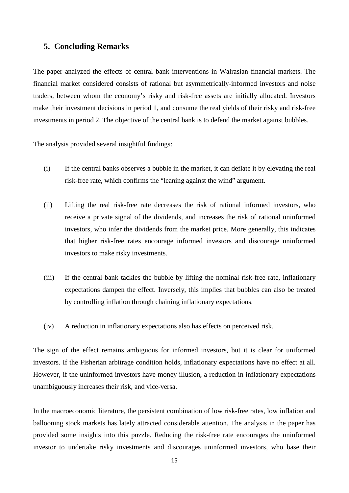#### **5. Concluding Remarks**

The paper analyzed the effects of central bank interventions in Walrasian financial markets. The financial market considered consists of rational but asymmetrically-informed investors and noise traders, between whom the economy's risky and risk-free assets are initially allocated. Investors make their investment decisions in period 1, and consume the real yields of their risky and risk-free investments in period 2. The objective of the central bank is to defend the market against bubbles.

The analysis provided several insightful findings:

- (i) If the central banks observes a bubble in the market, it can deflate it by elevating the real risk-free rate, which confirms the "leaning against the wind" argument.
- (ii) Lifting the real risk-free rate decreases the risk of rational informed investors, who receive a private signal of the dividends, and increases the risk of rational uninformed investors, who infer the dividends from the market price. More generally, this indicates that higher risk-free rates encourage informed investors and discourage uninformed investors to make risky investments.
- (iii) If the central bank tackles the bubble by lifting the nominal risk-free rate, inflationary expectations dampen the effect. Inversely, this implies that bubbles can also be treated by controlling inflation through chaining inflationary expectations.
- (iv) A reduction in inflationary expectations also has effects on perceived risk.

The sign of the effect remains ambiguous for informed investors, but it is clear for uniformed investors. If the Fisherian arbitrage condition holds, inflationary expectations have no effect at all. However, if the uninformed investors have money illusion, a reduction in inflationary expectations unambiguously increases their risk, and vice-versa.

In the macroeconomic literature, the persistent combination of low risk-free rates, low inflation and ballooning stock markets has lately attracted considerable attention. The analysis in the paper has provided some insights into this puzzle. Reducing the risk-free rate encourages the uninformed investor to undertake risky investments and discourages uninformed investors, who base their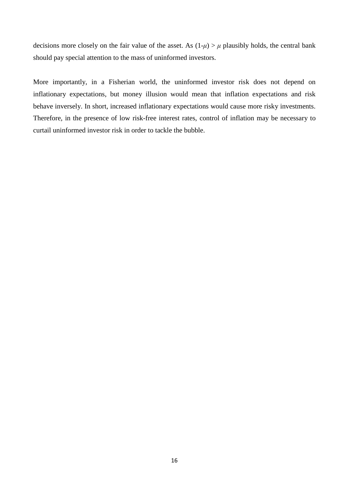decisions more closely on the fair value of the asset. As  $(1-\mu) > \mu$  plausibly holds, the central bank should pay special attention to the mass of uninformed investors.

More importantly, in a Fisherian world, the uninformed investor risk does not depend on inflationary expectations, but money illusion would mean that inflation expectations and risk behave inversely. In short, increased inflationary expectations would cause more risky investments. Therefore, in the presence of low risk-free interest rates, control of inflation may be necessary to curtail uninformed investor risk in order to tackle the bubble.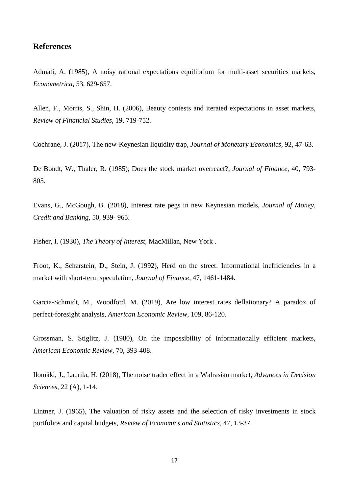#### **References**

Admati, A. (1985), A noisy rational expectations equilibrium for multi-asset securities markets, *Econometrica,* 53, 629-657.

Allen, F., Morris, S., Shin, H. (2006), Beauty contests and iterated expectations in asset markets, *Review of Financial Studies*, 19, 719-752.

Cochrane, J. (2017), The new-Keynesian liquidity trap, *Journal of Monetary Economics,* 92, 47-63.

De Bondt, W., Thaler, R. (1985), Does the stock market overreact?, *Journal of Finance,* 40, 793- 805.

Evans, G., McGough, B. (2018), Interest rate pegs in new Keynesian models, *Journal of Money, Credit and Banking,* 50, 939- 965.

Fisher, I. (1930), *The Theory of Interest,* MacMillan, New York .

Froot, K., Scharstein, D., Stein, J. (1992), Herd on the street: Informational inefficiencies in a market with short-term speculation, *Journal of Finance,* 47, 1461-1484.

Garcia-Schmidt, M., Woodford, M. (2019), Are low interest rates deflationary? A paradox of perfect-foresight analysis, *American Economic Review*, 109, 86-120.

Grossman, S. Stiglitz, J. (1980), On the impossibility of informationally efficient markets*, American Economic Review,* 70, 393-408.

Ilomäki, J., Laurila, H. (2018), The noise trader effect in a Walrasian market, *Advances in Decision Sciences,* 22 (A), 1-14.

Lintner, J. (1965), The valuation of risky assets and the selection of risky investments in stock portfolios and capital budgets, *Review of Economics and Statistics,* 47, 13-37.